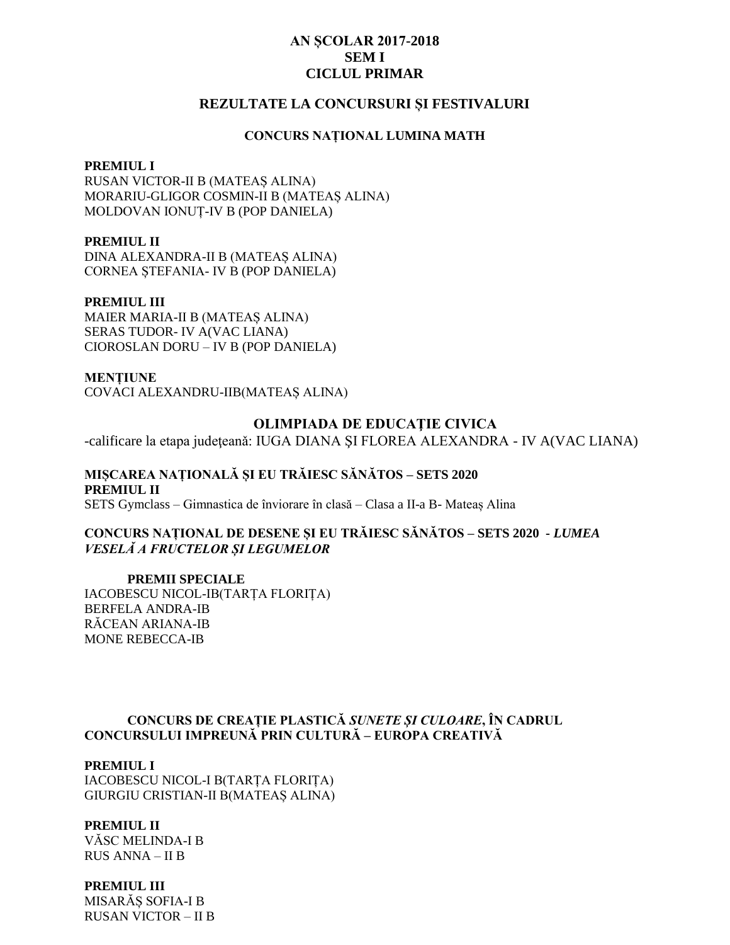# **AN SCOLAR 2017-2018 SEMI CICLUL PRIMAR**

# REZULTATE LA CONCURSURI ȘI FESTIVALURI

### **CONCURS NATIONAL LUMINA MATH**

#### **PREMIUL I**

RUSAN VICTOR-II B (MATEAȘ ALINA) MORARIU-GLIGOR COSMIN-II B (MATEAȘ ALINA) MOLDOVAN IONUT-IV B (POP DANIELA)

### **PREMIUL II**

DINA ALEXANDRA-II B (MATEAS ALINA) CORNEA STEFANIA- IV B (POP DANIELA)

### **PREMIUL III**

**MAIER MARIA-II B (MATEAS ALINA)** SERAS TUDOR- IV A(VAC LIANA) CIOROSLAN DORU - IV B (POP DANIELA)

**MENTIUNE** COVACI ALEXANDRU-IIB(MATEAS ALINA)

#### **OLIMPIADA DE EDUCAȚIE CIVICA**

-calificare la etapa judeteană: IUGA DIANA SI FLOREA ALEXANDRA - IV A(VAC LIANA)

MISCAREA NATIONALĂ SI EU TRĂIESC SĂNĂTOS – SETS 2020 **PREMIUL II** SETS Gymclass – Gimnastica de înviorare în clasă – Clasa a II-a B- Mateas Alina

CONCURS NATIONAL DE DESENE ȘI EU TRĂIESC SĂNĂTOS - SETS 2020 - LUMEA *VESELÀ A FRUCTELOR SI LEGUMELOR* 

**PREMII SPECIALE** IACOBESCU NICOL-IB(TARTA FLORITA) **BERFELA ANDRA-IB** RĂCEAN ARIANA-IB **MONE REBECCA-IB** 

# CONCURS DE CREAȚIE PLASTICĂ SUNETE ȘI CULOARE, ÎN CADRUL CONCURSULUI IMPREUNĂ PRIN CULTURĂ – EUROPA CREATIVĂ

### **PREMIUL I**

IACOBESCU NICOL-I B(TARȚA FLORIȚA) **GIURGIU CRISTIAN-II B(MATEAS ALINA)** 

# **PREMIUL II**

VĂSC MELINDA-I B **RUS ANNA - II B** 

### **PREMIUL III**

MISARÃS SOFIA-I B **RUSAN VICTOR – II B**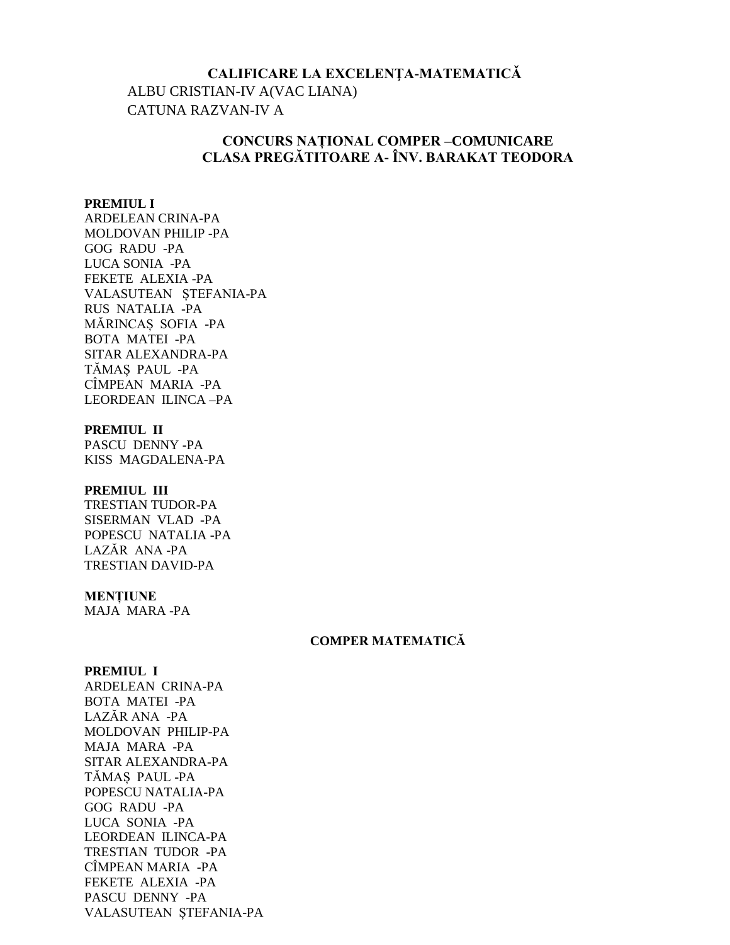# CALIFICARE LA EXCELENȚA-MATEMATICĂ ALBU CRISTIAN-IV A(VAC LIANA) **CATUNA RAZVAN-IV A**

# **CONCURS NATIONAL COMPER-COMUNICARE** CLASA PREGĂTITOARE A- ÎNV. BARAKAT TEODORA

### **PREMIUL I**

**ARDELEAN CRINA-PA** MOLDOVAN PHILIP-PA **GOG RADU -PA** LUCA SONIA -PA FEKETE ALEXIA-PA VALASUTEAN STEFANIA-PA RUS NATALIA -PA MÁRINCAS SOFIA -PA **BOTA MATEI -PA** SITAR ALEXANDRA-PA TĂMAȘ PAUL -PA CÎMPEAN MARIA -PA **LEORDEAN ILINCA-PA** 

#### PREMIUL II

PASCU DENNY-PA KISS MAGDALENA-PA

#### PREMIUL III

TRESTIAN TUDOR-PA SISERMAN VLAD -PA POPESCU NATALIA -PA LAZĂR ANA-PA **TRESTIAN DAVID-PA** 

## **MENTIUNE**

MAJA MARA-PA

# **COMPER MATEMATICĂ**

## **PREMIUL I**

**ARDELEAN CRINA-PA BOTA MATEI -PA** LAZĂR ANA -PA MOLDOVAN PHILIP-PA MAJA MARA -PA SITAR ALEXANDRA-PA TĂMAS PAUL -PA POPESCU NATALIA-PA **GOG RADU -PA** LUCA SONIA -PA **LEORDEAN ILINCA-PA** TRESTIAN TUDOR -PA CÎMPEAN MARIA -PA FEKETE ALEXIA -PA PASCU DENNY -PA VALASUTEAN STEFANIA-PA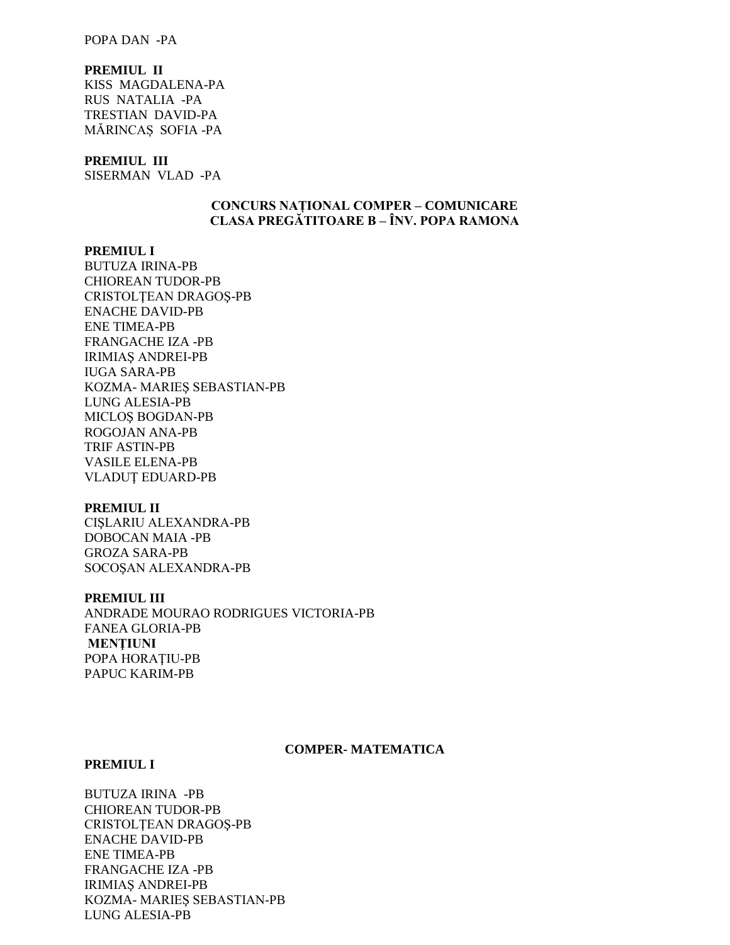### POPA DAN -PA

## **PREMIUL II**

KISS MAGDALENA-PA RUS NATALIA -PA TRESTIAN DAVID-PA MĂRINCAȘ SOFIA -PA

#### **PREMIUL III**

SISERMAN VLAD -PA

# **CONCURS NAȚIONAL COMPER – COMUNICARE CLASA PREGĂTITOARE B – ÎNV. POPA RAMONA**

#### **PREMIUL I**

BUTUZA IRINA-PB CHIOREAN TUDOR-PB CRISTOLŢEAN DRAGOŞ-PB ENACHE DAVID-PB ENE TIMEA-PB FRANGACHE IZA -PB IRIMIAŞ ANDREI-PB IUGA SARA-PB KOZMA- MARIEŞ SEBASTIAN-PB LUNG ALESIA-PB MICLOŞ BOGDAN-PB ROGOJAN ANA-PB TRIF ASTIN-PB VASILE ELENA-PB VLADUŢ EDUARD-PB

#### **PREMIUL II**

CIŞLARIU ALEXANDRA-PB DOBOCAN MAIA -PB GROZA SARA-PB SOCOŞAN ALEXANDRA-PB

#### **PREMIUL III**

ANDRADE MOURAO RODRIGUES VICTORIA-PB FANEA GLORIA-PB **MENŢIUNI** POPA HORAŢIU-PB PAPUC KARIM-PB

#### **COMPER- MATEMATICA**

#### **PREMIUL I**

BUTUZA IRINA -PB CHIOREAN TUDOR-PB CRISTOLŢEAN DRAGOŞ-PB ENACHE DAVID-PB ENE TIMEA-PB FRANGACHE IZA -PB IRIMIAŞ ANDREI-PB KOZMA- MARIEŞ SEBASTIAN-PB LUNG ALESIA-PB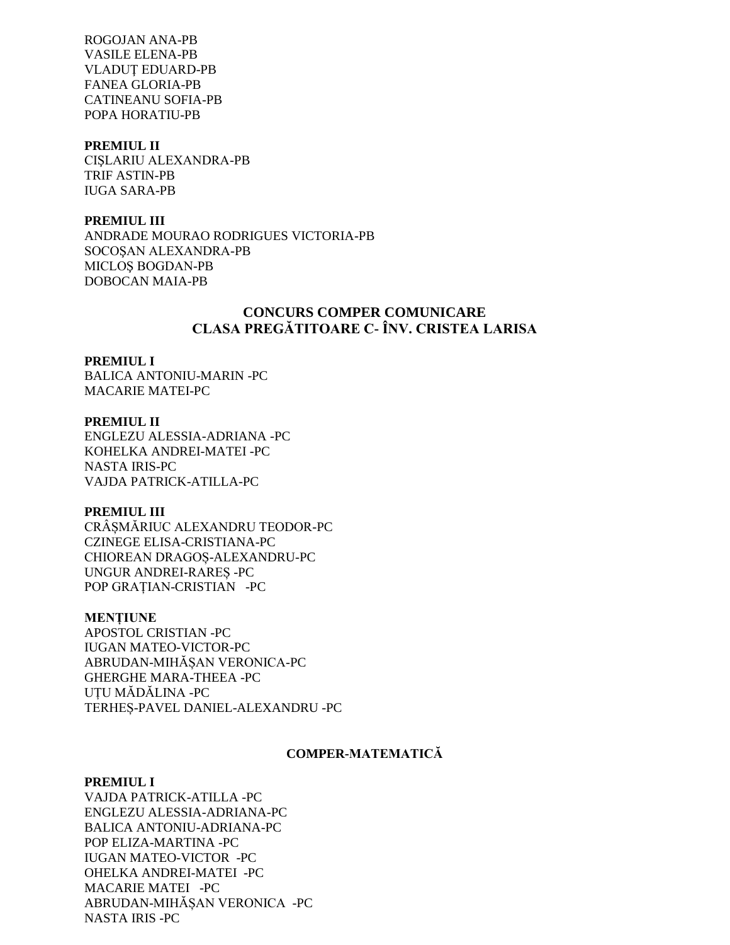ROGOJAN ANA-PB VASILE ELENA-PB VLADUŢ EDUARD-PB FANEA GLORIA-PB CATINEANU SOFIA-PB POPA HORATIU-PB

# **PREMIUL II**

CIŞLARIU ALEXANDRA-PB TRIF ASTIN-PB IUGA SARA-PB

### **PREMIUL III**

ANDRADE MOURAO RODRIGUES VICTORIA-PB SOCOŞAN ALEXANDRA-PB MICLOŞ BOGDAN-PB DOBOCAN MAIA-PB

# **CONCURS COMPER COMUNICARE CLASA PREGĂTITOARE C- ÎNV. CRISTEA LARISA**

#### **PREMIUL I**

BALICA ANTONIU-MARIN -PC MACARIE MATEI-PC

# **PREMIUL II** ENGLEZU ALESSIA-ADRIANA -PC KOHELKA ANDREI-MATEI -PC NASTA IRIS-PC VAJDA PATRICK-ATILLA-PC

## **PREMIUL III**

CRÂȘMĂRIUC ALEXANDRU TEODOR-PC CZINEGE ELISA-CRISTIANA-PC CHIOREAN DRAGOȘ-ALEXANDRU-PC UNGUR ANDREI-RAREȘ -PC POP GRAȚIAN-CRISTIAN -PC

### **MENȚIUNE**

APOSTOL CRISTIAN -PC IUGAN MATEO-VICTOR-PC ABRUDAN-MIHĂȘAN VERONICA-PC GHERGHE MARA-THEEA -PC UȚU MĂDĂLINA -PC TERHEȘ-PAVEL DANIEL-ALEXANDRU -PC

## **COMPER-MATEMATICĂ**

### **PREMIUL I**

VAJDA PATRICK-ATILLA -PC ENGLEZU ALESSIA-ADRIANA-PC BALICA ANTONIU-ADRIANA-PC POP ELIZA-MARTINA -PC IUGAN MATEO-VICTOR -PC OHELKA ANDREI-MATEI -PC MACARIE MATEI -PC ABRUDAN-MIHĂȘAN VERONICA -PC NASTA IRIS -PC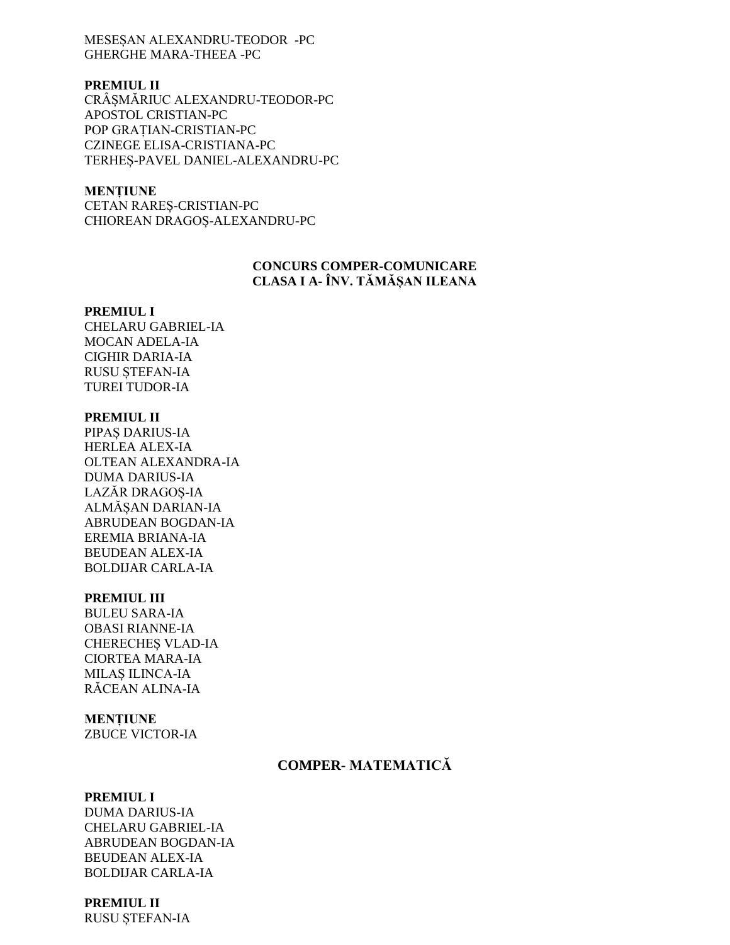MESESAN ALEXANDRU-TEODOR -PC **GHERGHE MARA-THEEA -PC** 

# **PREMIUL II**

CRÂSMĂRIUC ALEXANDRU-TEODOR-PC APOSTOL CRISTIAN-PC POP GRATIAN-CRISTIAN-PC **CZINEGE ELISA-CRISTIANA-PC** TERHES-PAVEL DANIEL-ALEXANDRU-PC

## **MENȚIUNE**

CETAN RAREŞ-CRISTIAN-PC CHIOREAN DRAGOȘ-ALEXANDRU-PC

# **CONCURS COMPER-COMUNICARE** CLASA I A- ÎNV. TĂMĂȘAN ILEANA

#### **PREMIUL I**

**CHELARU GABRIEL-IA** MOCAN ADELA-IA **CIGHIR DARIA-IA RUSU STEFAN-IA TUREI TUDOR-IA** 

### **PREMIUL II**

PIPAȘ DARIUS-IA HERLEA ALEX-IA OLTEAN ALEXANDRA-IA **DUMA DARIUS-IA** LAZĂR DRAGOȘ-IA ALMĂȘAN DARIAN-IA ABRUDEAN BOGDAN-IA EREMIA BRIANA-IA **BEUDEAN ALEX-IA BOLDIJAR CARLA-IA** 

## **PREMIUL III**

**BULEU SARA-IA OBASI RIANNE-IA** CHERECHES VLAD-IA **CIORTEA MARA-IA MILAS ILINCA-IA** RĂCEAN ALINA-IA

## **MENTIUNE**

**ZBUCE VICTOR-IA** 

# **COMPER-MATEMATICĂ**

## **PREMIUL I**

**DUMA DARIUS-IA CHELARU GABRIEL-IA ABRUDEAN BOGDAN-IA BEUDEAN ALEX-IA BOLDIJAR CARLA-IA** 

# **PREMIUL II**

RUSU ȘTEFAN-IA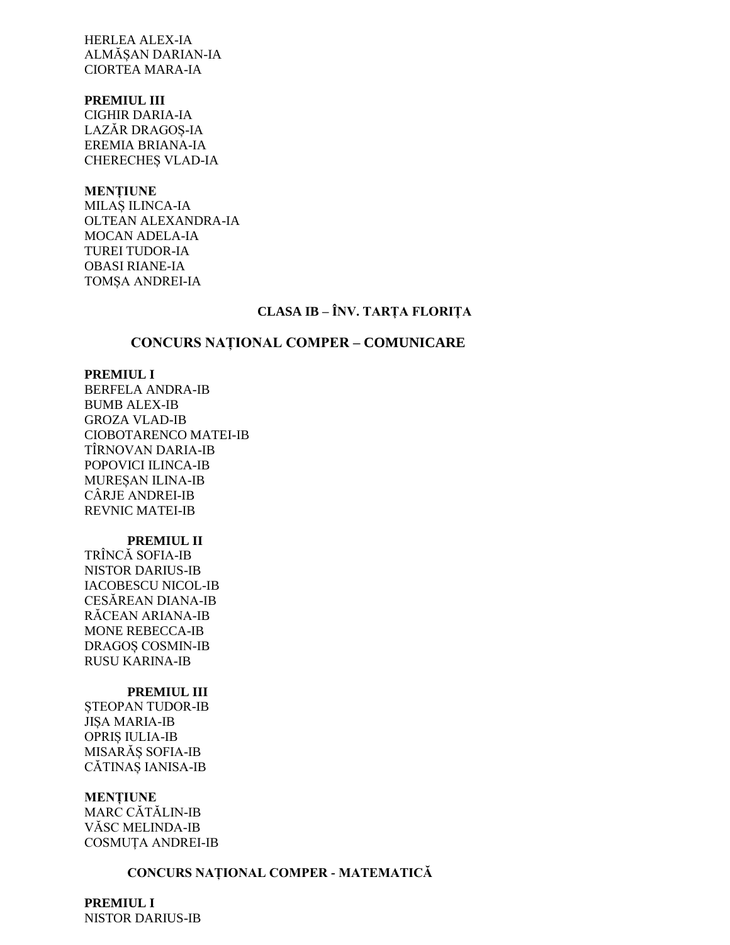**HERLEA ALEX-IA** ALMĂSAN DARIAN-IA **CIORTEA MARA-IA** 

### **PREMIUL III**

**CIGHIR DARIA-IA** LAZĂR DRAGOȘ-IA EREMIA BRIANA-IA **CHERECHES VLAD-IA** 

## **MENȚIUNE**

MILAȘ ILINCA-IA OLTEAN ALEXANDRA-IA **MOCAN ADELA-IA TUREI TUDOR-IA OBASI RIANE-IA** TOMȘA ANDREI-IA

# CLASA IB - ÎNV. TARȚA FLORIȚA

# **CONCURS NATIONAL COMPER - COMUNICARE**

### **PREMIUL I**

**BERFELA ANDRA-IB BUMB ALEX-IB GROZA VLAD-IB** CIOBOTARENCO MATEI-IB **TIRNOVAN DARIA-IB** POPOVICI ILINCA-IB MUREŞAN ILINA-IB CÂRJE ANDREI-IB **REVNIC MATEI-IB** 

# **PREMIUL II**

TRÎNCĂ SOFIA-IB **NISTOR DARIUS-IB IACOBESCU NICOL-IB CESĂREAN DIANA-IB** RĂCEAN ARIANA-IB **MONE REBECCA-IB DRAGOS COSMIN-IB RUSU KARINA-IB** 

# **PREMIUL III**

STEOPAN TUDOR-IB **JISA MARIA-IB OPRIS IULIA-IB** MISARĂS SOFIA-IB CĂTINAȘ IANISA-IB

### **MENTIUNE**

MARC CĂTĂLIN-IB **VĂSC MELINDA-IB COSMUTA ANDREI-IB** 

# CONCURS NAȚIONAL COMPER - MATEMATICĂ

**PREMIUL I NISTOR DARIUS-IB**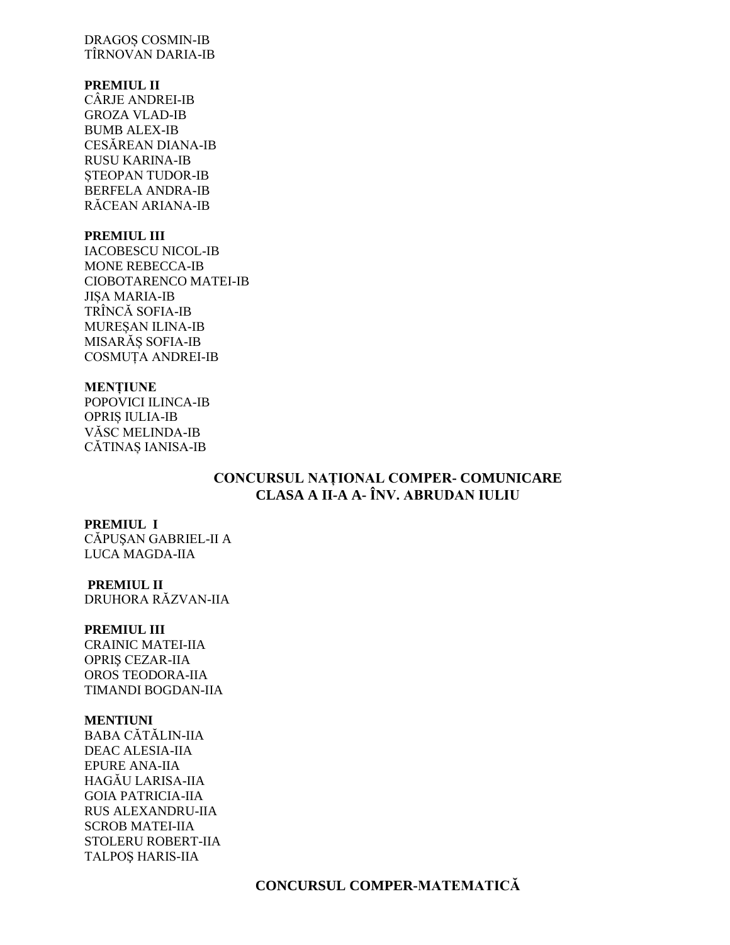# **DRAGOS COSMIN-IB** TÎRNOVAN DARIA-IB

# **PREMIUL II**

CÂRJE ANDREI-IB **GROZA VLAD-IB BUMB ALEX-IB** CESĂREAN DIANA-IB **RUSU KARINA-IB STEOPAN TUDOR-IB BERFELA ANDRA-IB** RĂCEAN ARIANA-IB

# **PREMIUL III**

**IACOBESCU NICOL-IB MONE REBECCA-IB CIOBOTARENCO MATEI-IB JISA MARIA-IB** TRÎNCĂ SOFIA-IB MURESAN ILINA-IB MISARĂȘ SOFIA-IB **COSMUȚA ANDREI-IB** 

# **MENȚIUNE**

POPOVICI ILINCA-IB **OPRIS IULIA-IB** VĂSC MELINDA-IB CĂTINAȘ IANISA-IB

# CONCURSUL NAȚIONAL COMPER- COMUNICARE CLASA A II-A A- ÎNV. ABRUDAN IULIU

# **PREMIUL I**

CĂPUSAN GABRIEL-II A LUCA MAGDA-IIA

# **PREMIUL II**

DRUHORA RĂZVAN-IIA

# **PREMIUL III**

**CRAINIC MATEI-IIA OPRIS CEZAR-IIA** OROS TEODORA-IIA **TIMANDI BOGDAN-IIA** 

# **MENTIUNI**

**BABA CĂTĂLIN-IIA DEAC ALESIA-IIA EPURE ANA-IIA** HAGĂU LARISA-IIA **GOIA PATRICIA-IIA RUS ALEXANDRU-IIA SCROB MATEI-IIA** STOLERU ROBERT-IIA **TALPOS HARIS-IIA**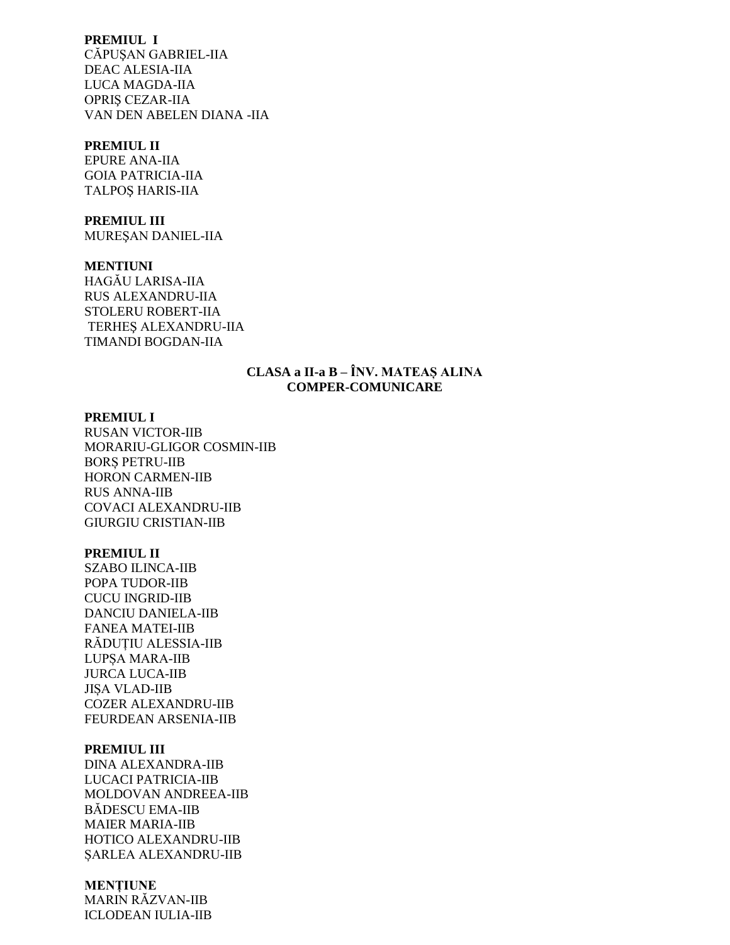# **PREMIUL I**

CĂPUSAN GABRIEL-IIA **DEAC ALESIA-IIA** LUCA MAGDA-IIA **OPRIS CEZAR-IIA** VAN DEN ABELEN DIANA - IIA

## **PREMIUL II**

**EPURE ANA-IIA GOIA PATRICIA-IIA TALPOS HARIS-IIA** 

#### **PREMIUL III**

MUREȘAN DANIEL-IIA

### **MENTIUNI**

HAGĂU LARISA-IIA **RUS ALEXANDRU-IIA STOLERU ROBERT-IIA** TERHES ALEXANDRU-IIA TIMANDI BOGDAN-IIA

# **CLASA a II-a B – ÎNV. MATEAȘ ALINA COMPER-COMUNICARE**

### **PREMIUL I**

**RUSAN VICTOR-IIB** MORARIU-GLIGOR COSMIN-IIB **BORS PETRU-IIB HORON CARMEN-IIB RUS ANNA-IIB COVACI ALEXANDRU-IIB GIURGIU CRISTIAN-IIB** 

# **PREMIUL II**

**SZABO ILINCA-IIB** POPA TUDOR-IIB **CUCU INGRID-IIB DANCIU DANIELA-IIB FANEA MATEI-IIB** RĂDUȚIU ALESSIA-IIB **LUPSA MARA-IIB JURCA LUCA-IIB JISA VLAD-IIB COZER ALEXANDRU-IIB** FEURDEAN ARSENIA-IIB

#### **PREMIUL III**

**DINA ALEXANDRA-IIB** LUCACI PATRICIA-IIB MOLDOVAN ANDREEA-IIB **BÁDESCU EMA-IIB MAIER MARIA-IIB** HOTICO ALEXANDRU-IIB ŞARLEA ALEXANDRU-IIB

### **MENTIUNE**

**MARIN RÁZVAN-IIB ICLODEAN IULIA-IIB**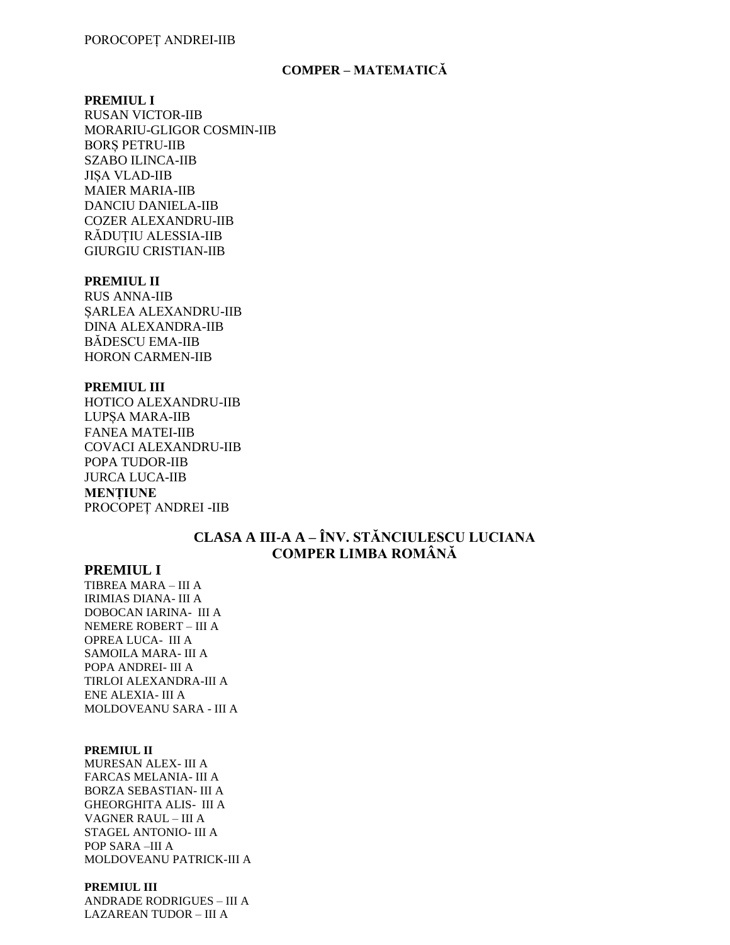### **COMPER – MATEMATICĂ**

#### **PREMIUL I**

**RUSAN VICTOR-IIB** MORARIU-GLIGOR COSMIN-IIB **BORS PETRU-IIB SZABO ILINCA-IIB JISA VLAD-IIB MAIER MARIA-IIB DANCIU DANIELA-IIB COZER ALEXANDRU-IIB** RĂDUȚIU ALESSIA-IIB **GIURGIU CRISTIAN-IIB** 

# **PREMIUL II**

**RUS ANNA-IIB SARLEA ALEXANDRU-IIB DINA ALEXANDRA-IIB BĂDESCU EMA-IIB HORON CARMEN-IIB** 

#### **PREMIUL III**

HOTICO ALEXANDRU-IIB **LUPSA MARA-IIB FANEA MATEI-IIB COVACI ALEXANDRU-IIB** POPA TUDOR-IIB **JURCA LUCA-IIB MENȚIUNE** PROCOPET ANDREI -IIB

# CLASA A III-A A – ÎNV. STĂNCIULESCU LUCIANA **COMPER LIMBA ROMÂNĂ**

# **PREMIUL I**

TIBREA MARA - III A **IRIMIAS DIANA- III A** DOBOCAN IARINA- III A NEMERE ROBERT - III A OPREA LUCA- III A SAMOILA MARA-III A POPA ANDREI- III A TIRLOI ALEXANDRA-III A ENE ALEXIA- III A MOLDOVEANU SARA - III A

#### **PREMIUL II**

MURESAN ALEX- III A FARCAS MELANIA- III A **BORZA SEBASTIAN- III A GHEORGHITA ALIS- III A** VAGNER RAUL - III A STAGEL ANTONIO- III A POP SARA-III A MOLDOVEANU PATRICK-III A

#### PREMIUL III

**ANDRADE RODRIGUES - III A LAZAREAN TUDOR - III A**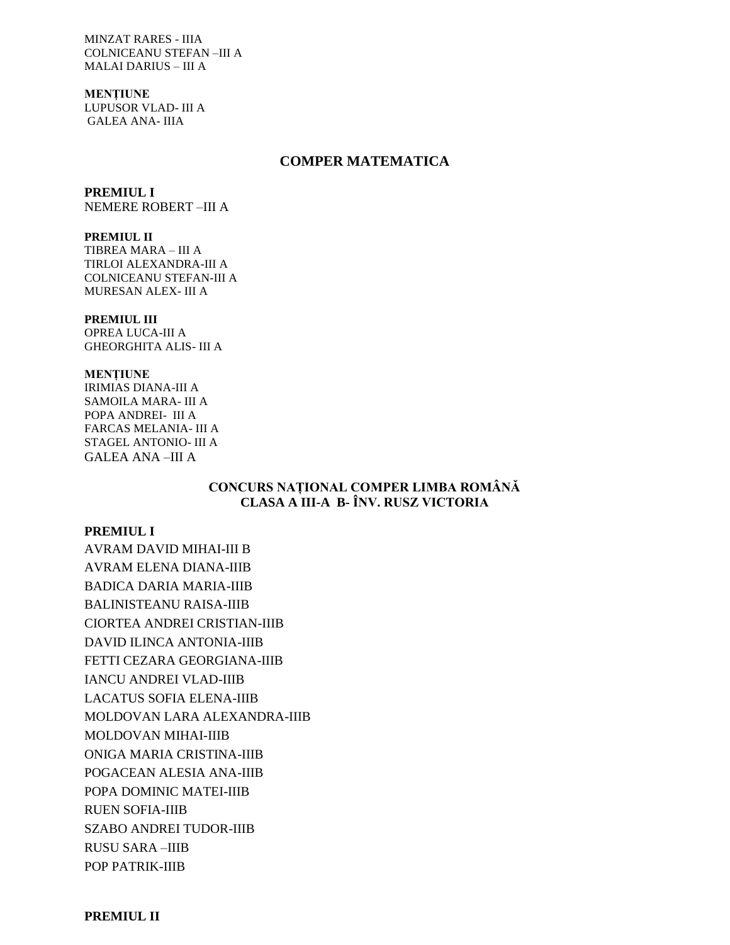**MINZAT RARES - IIIA COLNICEANU STEFAN-III A MALAI DARIUS - III A** 

**MENTIUNE** LUPUSOR VLAD- III A **GALEA ANA-IIIA** 

## **COMPER MATEMATICA**

### **PREMIUL I**

NEMERE ROBERT-III A

### PREMIUL II

TIBREA MARA - III A TIRLOI ALEXANDRA-III A COLNICEANU STEFAN-III A MURESAN ALEX- III A

#### PREMIUL III

OPREA LUCA-III A **GHEORGHITA ALIS-III A** 

#### **MENTIUNE**

**IRIMIAS DIANA-III A** SAMOILA MARA-III A POPA ANDREI- III A **FARCAS MELANIA- III A** STAGEL ANTONIO- III A **GALEA ANA-III A** 

# CONCURS NAȚIONAL COMPER LIMBA ROMÂNĂ CLASA A III-A B- ÎNV. RUSZ VICTORIA

### **PREMIUL I**

**AVRAM DAVID MIHAI-III B AVRAM ELENA DIANA-IIIB BADICA DARIA MARIA-IIIB BALINISTEANU RAISA-IIIB CIORTEA ANDREI CRISTIAN-IIIB DAVID ILINCA ANTONIA-IIIB** FETTI CEZARA GEORGIANA-IIIB **IANCU ANDREI VLAD-IIIB LACATUS SOFIA ELENA-IIIB** MOLDOVAN LARA ALEXANDRA-IIIB MOLDOVAN MIHAI-IIIB ONIGA MARIA CRISTINA-IIIB POGACEAN ALESIA ANA-IIIB POPA DOMINIC MATEI-IIIB **RUEN SOFIA-IIIB SZABO ANDREI TUDOR-IIIB RUSU SARA-IIIB** POP PATRIK-IIIB

**PREMIUL II**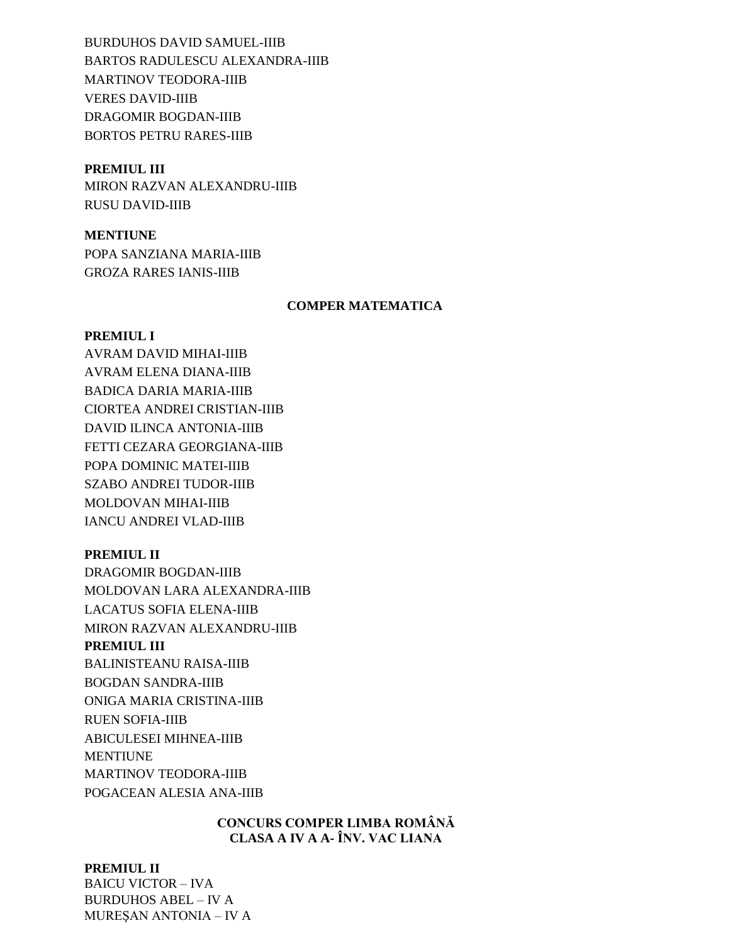**BURDUHOS DAVID SAMUEL-IIIB** BARTOS RADULESCU ALEXANDRA-IIIB **MARTINOV TEODORA-IIIB VERES DAVID-IIIB** DRAGOMIR BOGDAN-IIIB **BORTOS PETRU RARES-IIIB** 

## **PREMIUL III**

MIRON RAZVAN ALEXANDRU-IIIB **RUSU DAVID-IIIB** 

## **MENTIUNE**

POPA SANZIANA MARIA-IIIB **GROZA RARES IANIS-IIIB** 

### **COMPER MATEMATICA**

## **PREMIUL I**

AVRAM DAVID MIHAI-IIIB **AVRAM ELENA DIANA-IIIB BADICA DARIA MARIA-IIIB** CIORTEA ANDREI CRISTIAN-IIIB **DAVID ILINCA ANTONIA-IIIB** FETTI CEZARA GEORGIANA-IIIB POPA DOMINIC MATEI-IIIB **SZABO ANDREI TUDOR-IIIB** MOLDOVAN MIHAI-IIIB **IANCU ANDREI VLAD-IIIB** 

## **PREMIUL II**

**DRAGOMIR BOGDAN-IIIB** MOLDOVAN LARA ALEXANDRA-IIIB **LACATUS SOFIA ELENA-IIIB** MIRON RAZVAN ALEXANDRU-IIIB PREMIUL III **BALINISTEANU RAISA-IIIB BOGDAN SANDRA-IIIB** ONIGA MARIA CRISTINA-IIIB **RUEN SOFIA-IIIB** ABICULESEI MIHNEA-IIIB **MENTIUNE MARTINOV TEODORA-IIIB** POGACEAN ALESIA ANA-IIIB

# **CONCURS COMPER LIMBA ROMÂNĂ** CLASA A IV A A- ÎNV. VAC LIANA

## **PREMIUL II**

**BAICU VICTOR - IVA BURDUHOS ABEL - IV A MURESAN ANTONIA - IV A**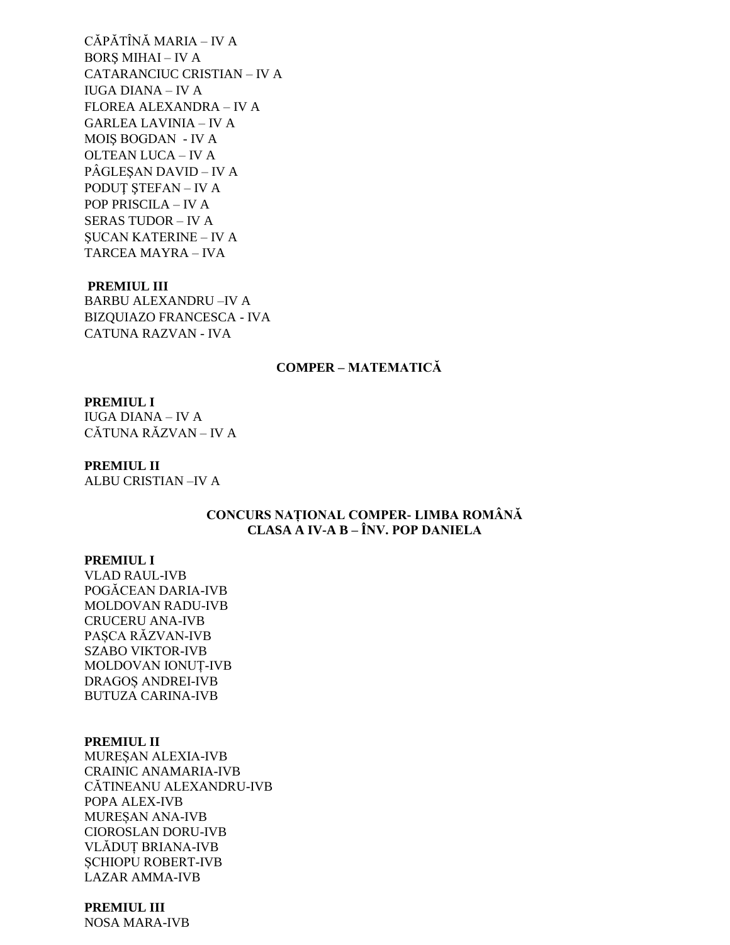CĂPĂTÎNĂ MARIA - IV A **BORS MIHAI - IV A** CATARANCIUC CRISTIAN - IV A **IUGA DIANA – IV A** FLOREA ALEXANDRA - IV A **GARLEA LAVINIA - IV A** MOIS BOGDAN - IV A **OLTEAN LUCA - IV A** PÂGLESAN DAVID - IV A **PODUT STEFAN - IV A** POP PRISCILA - IV A **SERAS TUDOR - IV A SUCAN KATERINE - IV A** TARCEA MAYRA - IVA

#### **PREMIUL III**

**BARBU ALEXANDRU-IV A BIZOUIAZO FRANCESCA - IVA** CATUNA RAZVAN - IVA

# **COMPER - MATEMATICĂ**

# **PREMIUL I**

**IUGA DIANA – IV A** CĂTUNA RĂZVAN - IV A

### **PREMIUL II**

**ALBU CRISTIAN-IV A** 

# CONCURS NAȚIONAL COMPER- LIMBA ROMÂNĂ CLASA A IV-A B – ÎNV. POP DANIELA

### **PREMIUL I**

**VLAD RAUL-IVB** POGĂCEAN DARIA-IVB MOLDOVAN RADU-IVB **CRUCERU ANA-IVB** PASCA RĂZVAN-IVB **SZABO VIKTOR-IVB** MOLDOVAN IONUT-IVB DRAGOȘ ANDREI-IVB **BUTUZA CARINA-IVB** 

## **PREMIUL II**

MUREŞAN ALEXIA-IVB **CRAINIC ANAMARIA-IVB** CĂTINEANU ALEXANDRU-IVB POPA ALEX-IVB MURESAN ANA-IVB **CIOROSLAN DORU-IVB** VLĂDUȚ BRIANA-IVB **SCHIOPU ROBERT-IVB LAZAR AMMA-IVB** 

# **PREMIUL III**

**NOSA MARA-IVB**